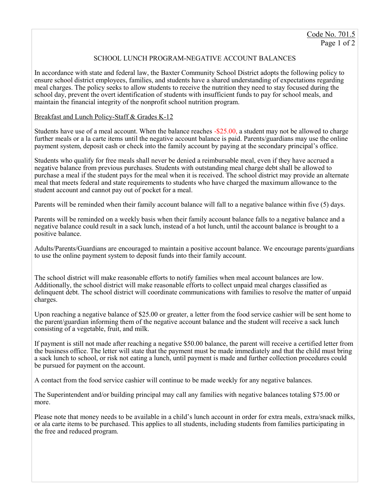## SCHOOL LUNCH PROGRAM-NEGATIVE ACCOUNT BALANCES

In accordance with state and federal law, the Baxter Community School District adopts the following policy to ensure school district employees, families, and students have a shared understanding of expectations regarding meal charges. The policy seeks to allow students to receive the nutrition they need to stay focused during the school day, prevent the overt identification of students with insufficient funds to pay for school meals, and maintain the financial integrity of the nonprofit school nutrition program.

## Breakfast and Lunch Policy-Staff & Grades K-12

Students have use of a meal account. When the balance reaches -\$25.00, a student may not be allowed to charge further meals or a la carte items until the negative account balance is paid. Parents/guardians may use the online payment system, deposit cash or check into the family account by paying at the secondary principal's office.

Students who qualify for free meals shall never be denied a reimbursable meal, even if they have accrued a negative balance from previous purchases. Students with outstanding meal charge debt shall be allowed to purchase a meal if the student pays for the meal when it is received. The school district may provide an alternate meal that meets federal and state requirements to students who have charged the maximum allowance to the student account and cannot pay out of pocket for a meal.

Parents will be reminded when their family account balance will fall to a negative balance within five (5) days.

Parents will be reminded on a weekly basis when their family account balance falls to a negative balance and a negative balance could result in a sack lunch, instead of a hot lunch, until the account balance is brought to a positive balance.

Adults/Parents/Guardians are encouraged to maintain a positive account balance. We encourage parents/guardians to use the online payment system to deposit funds into their family account.

The school district will make reasonable efforts to notify families when meal account balances are low. Additionally, the school district will make reasonable efforts to collect unpaid meal charges classified as delinquent debt. The school district will coordinate communications with families to resolve the matter of unpaid charges.

Upon reaching a negative balance of \$25.00 or greater, a letter from the food service cashier will be sent home to the parent/guardian informing them of the negative account balance and the student will receive a sack lunch consisting of a vegetable, fruit, and milk.

If payment is still not made after reaching a negative \$50.00 balance, the parent will receive a certified letter from the business office. The letter will state that the payment must be made immediately and that the child must bring a sack lunch to school, or risk not eating a lunch, until payment is made and further collection procedures could be pursued for payment on the account.

A contact from the food service cashier will continue to be made weekly for any negative balances.

The Superintendent and/or building principal may call any families with negative balances totaling \$75.00 or more.

Please note that money needs to be available in a child's lunch account in order for extra meals, extra/snack milks, or ala carte items to be purchased. This applies to all students, including students from families participating in the free and reduced program.